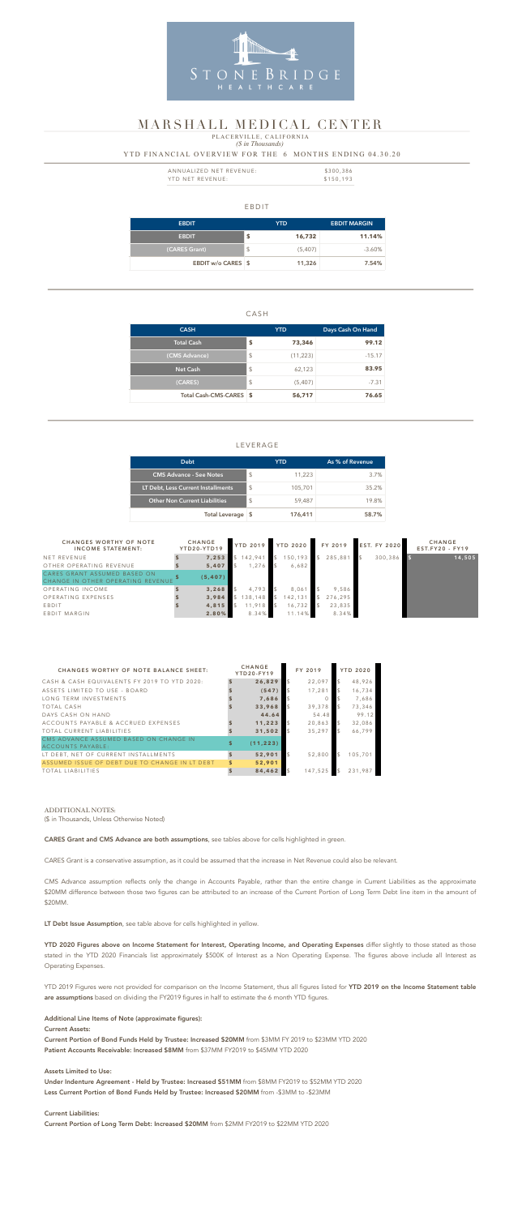### EBDIT

| <b>EBDIT</b>              |               | <b>YTD</b> | <b>EBDIT MARGIN</b> |
|---------------------------|---------------|------------|---------------------|
| <b>EBDIT</b>              | \$            | 16,732     | 11.14%              |
| (CARES Grant)             | $\frac{1}{2}$ | (5,407)    | $-3.60\%$           |
| <b>EBDIT w/o CARES \$</b> |               | 11,326     | 7.54%               |

### CASH

| <b>CASH</b>             |                         | YTD.      | Days Cash On Hand |
|-------------------------|-------------------------|-----------|-------------------|
| <b>Total Cash</b>       | \$                      | 73,346    | 99.12             |
| (CMS Advance)           | $\sqrt[6]{\frac{1}{2}}$ | (11, 223) | $-15.17$          |
| <b>Net Cash</b>         | $\sqrt[6]{\frac{1}{2}}$ | 62,123    | 83.95             |
| (CARES)                 | $\sqrt[6]{\frac{1}{2}}$ | (5,407)   | $-7.31$           |
| Total Cash-CMS-CARES \$ |                         | 56,717    | 76.65             |

| ANNUALIZED NET REVENUE: | \$300,386 |  |
|-------------------------|-----------|--|
| YTD NET REVENUE:        | \$150,193 |  |

## LEVERAGE

#### *(\$ in Thousands)* PLACERVILLE, CALIFORNIA

| <b>Debt</b>                          |                         | YTD     | As % of Revenue |
|--------------------------------------|-------------------------|---------|-----------------|
| <b>CMS Advance - See Notes</b>       | $\sqrt[6]{\frac{1}{2}}$ | 11,223  | $3.7\%$         |
| LT Debt, Less Current Installments   | $\mathcal{L}$           | 105,701 | 35.2%           |
| <b>Other Non Current Liabilities</b> | $\mathcal{S}$           | 59,487  | 19.8%           |
| Total Leverage \$                    |                         | 176,411 | 58.7%           |

### YTD FINANCIAL OVERVIEW FOR THE 6 MONTHS ENDING 04.30.20



## MARSHALL MEDICAL CENTER

| <b>CHANGES WORTHY OF NOTE</b><br><b>INCOME STATEMENT:</b> | <b>CHANGE</b><br>YTD20-YTD19 | <b>YTD 2019</b> | <b>YTD 2020</b> |               | FY 2019 | <b>EST. FY 2020</b> | <b>CHANGE</b><br>EST.FY20 - FY19 |
|-----------------------------------------------------------|------------------------------|-----------------|-----------------|---------------|---------|---------------------|----------------------------------|
| NET REVENUE                                               | 7,253                        | 142,941         | 150,193         | $\mathcal{L}$ | 285,881 | 300,386             | 14,505                           |
| OTHER OPERATING REVENUE                                   | 5,407                        | 1,276           | 6,682           |               |         |                     |                                  |
| CARES GRANT ASSUMED BASED ON<br>CHANGE IN OTHER OPERAT    | (5, 407)                     |                 |                 |               |         |                     |                                  |
| OPERATING INCOME                                          | 3, 268                       | 4,793           | 8,061           |               | 9,586   |                     |                                  |
| OPERATING EXPENSES                                        | 3,984                        | 138,148         | 142,131         |               | 276,295 |                     |                                  |
| EBDIT                                                     | 4,815                        | 11,918          | 16,732          |               | 23,835  |                     |                                  |
| EBDIT MARGIN                                              | 2.80%                        | 8.34%           | 11.14%          |               | 8.34%   |                     |                                  |

YTD 2020 Figures above on Income Statement for Interest, Operating Income, and Operating Expenses differ slightly to those stated as those stated in the YTD 2020 Financials list approximately \$500K of Interest as a Non Operating Expense. The figures above include all Interest as Operating Expenses.

YTD 2019 Figures were not provided for comparison on the Income Statement, thus all figures listed for YTD 2019 on the Income Statement table are assumptions based on dividing the FY2019 figures in half to estimate the 6 month YTD figures.

| <b>CHANGES WORTHY OF NOTE BALANCE SHEET:</b>                |              | <b>CHANGE</b><br>YTD20-FY19 |                | FY 2019 |     | <b>YTD 2020</b> |
|-------------------------------------------------------------|--------------|-----------------------------|----------------|---------|-----|-----------------|
| CASH & CASH EQUIVALENTS FY 2019 TO YTD 2020:                |              | 26,829                      | $\mathcal{S}$  | 22,097  | \$  | 48,926          |
| ASSETS LIMITED TO USE - BOARD                               |              | (547)                       |                | 17,281  | \$  | 16,734          |
| LONG TERM INVESTMENTS                                       |              | 7,686                       |                |         |     | 7,686           |
| <b>TOTAL CASH</b>                                           |              | 33,968                      | $\mathcal{S}$  | 39,378  |     | 73,346          |
| DAYS CASH ON HAND                                           |              | 44.64                       |                | 54.48   |     | 99.12           |
| ACCOUNTS PAYABLE & ACCRUED EXPENSES                         |              | 11,223                      | $\mathcal{S}$  | 20,863  | \$. | 32,086          |
| <b>TOTAL CURRENT LIABILITIES</b>                            |              | 31,502                      | $\mathfrak{F}$ | 35,297  |     | 66,799          |
| CMS ADVANCE ASSUMED BASED ON CHANGE IN<br>ACCOUNTS PAYABLE: | \$           | (11, 223)                   |                |         |     |                 |
| LT DEBT, NET OF CURRENT INSTALLMENTS                        | $\mathbf{s}$ | 52,901                      | $\mathcal{S}$  | 52,800  | \$. | 105,701         |
| ASSUMED ISSUE OF DEBT DUE TO CHANGE IN LT DEBT              | S            | 52,901                      |                |         |     |                 |
| <b>TOTAL LIABILITIES</b>                                    |              | 84,462                      | $\mathcal{S}$  | 147,525 | \$  | 231,987         |

#### ADDITIONAL NOTES:

(\$ in Thousands, Unless Otherwise Noted)

CARES Grant and CMS Advance are both assumptions, see tables above for cells highlighted in green.

CARES Grant is a conservative assumption, as it could be assumed that the increase in Net Revenue could also be relevant.

CMS Advance assumption reflects only the change in Accounts Payable, rather than the entire change in Current Liabilities as the approximate \$20MM difference between those two figures can be attributed to an increase of the Current Portion of Long Term Debt line item in the amount of \$20MM.

LT Debt Issue Assumption, see table above for cells highlighted in yellow.

Additional Line Items of Note (approximate figures): Current Assets:

Current Portion of Bond Funds Held by Trustee: Increased \$20MM from \$3MM FY 2019 to \$23MM YTD 2020 Patient Accounts Receivable: Increased \$8MM from \$37MM FY2019 to \$45MM YTD 2020

Assets Limited to Use:

Under Indenture Agreement - Held by Trustee: Increased \$51MM from \$8MM FY2019 to \$52MM YTD 2020 Less Current Portion of Bond Funds Held by Trustee: Increased \$20MM from -\$3MM to -\$23MM

Current Liabilities:

Current Portion of Long Term Debt: Increased \$20MM from \$2MM FY2019 to \$22MM YTD 2020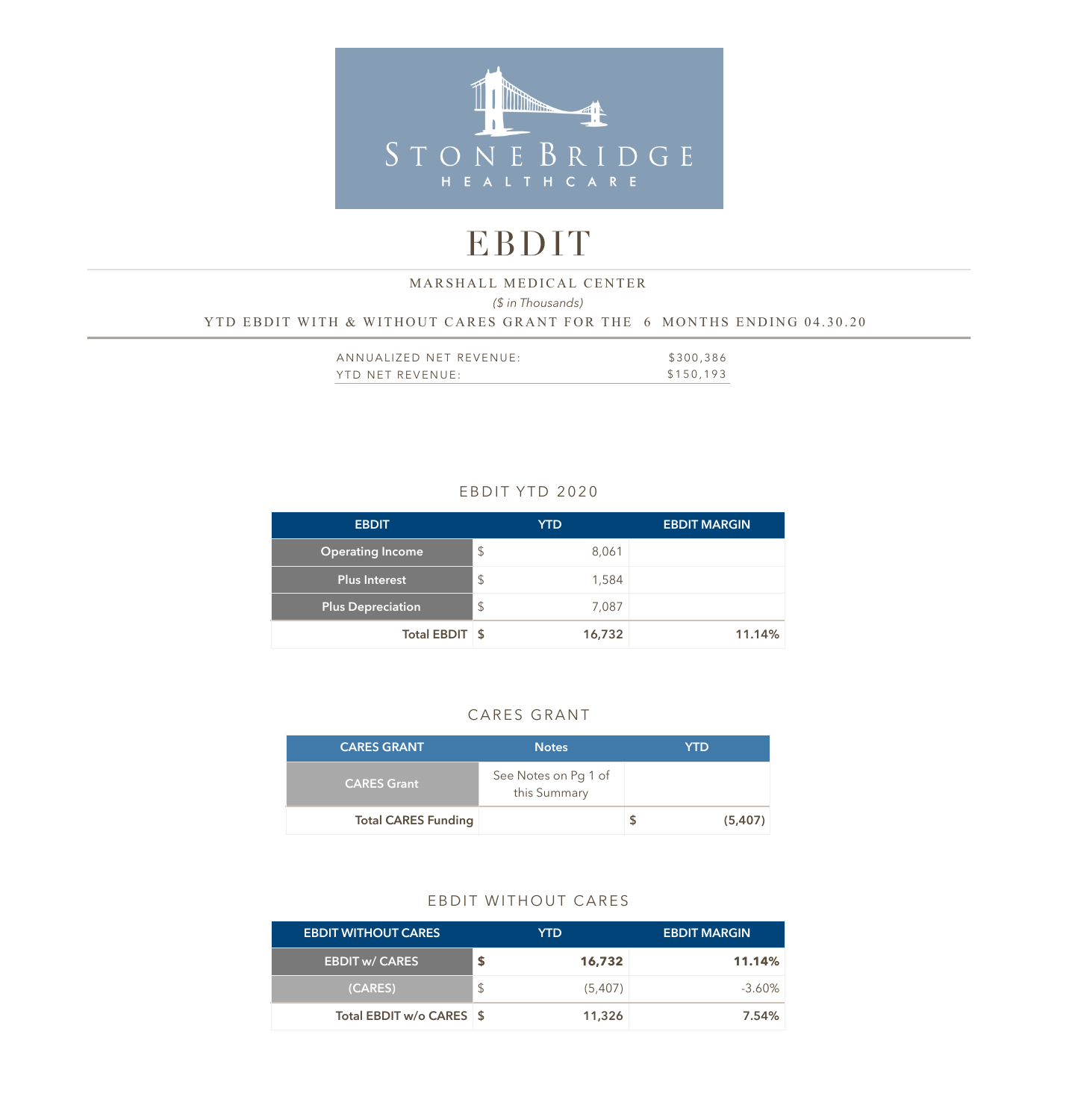

# EBDIT

## *(\$ in Thousands)*  YTD EBDIT WITH & WITHOUT CARES GRANT FOR THE 6 MONTHS ENDING 04.30.20 MARSHALL MEDICAL CENTER

| ANNUALIZED NET REVENUE: | \$300,386 |
|-------------------------|-----------|
| YTD NET REVENUE:        | \$150,193 |

## EBDIT YTD 2020

| <b>EBDIT</b>             | <b>YTD</b>    |        | <b>EBDIT MARGIN</b> |
|--------------------------|---------------|--------|---------------------|
| <b>Operating Income</b>  | $\frac{1}{2}$ | 8,061  |                     |
| <b>Plus Interest</b>     | $\mathcal{S}$ | 1,584  |                     |
| <b>Plus Depreciation</b> | $\frac{1}{2}$ | 7,087  |                     |
| Total EBDIT \$           |               | 16,732 | 11.14%              |

## CARES GRANT

| <b>CARES GRANT</b>         | <b>Notes</b>                         | <b>YTD</b> |  |
|----------------------------|--------------------------------------|------------|--|
| <b>CARES Grant</b>         | See Notes on Pg 1 of<br>this Summary |            |  |
| <b>Total CARES Funding</b> |                                      | (5,407)    |  |

## EBDIT WITHOUT CARES

| <b>EBDIT WITHOUT CARES</b> |   | YTD.    | <b>EBDIT MARGIN</b> |
|----------------------------|---|---------|---------------------|
| <b>EBDIT w/ CARES</b>      |   | 16,732  | <b>11.14%</b>       |
| (CARES)                    | S | (5,407) | $-3.60\%$           |
| Total EBDIT w/o CARES \$   |   | 11,326  | 7.54%               |